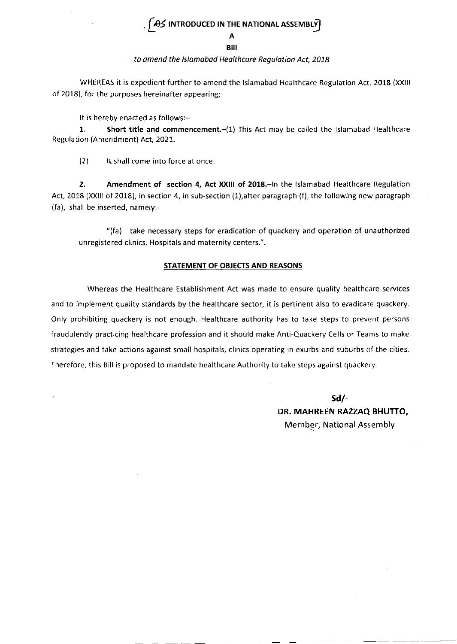## $\sqrt{2}$  introduced in the national assembly

#### A BiI

### to omend the lslomobod Heolthcare Regulotion Act, 2078

WHEREAS it is expedlent further to amend the lslamabad Healthcare Regulation Act, 2018 (xxlll of 2018), for the purposes hereinafter appearing;

It is hereby enacted as follows:-

1. Short title and commencement.-(1) This Act may be called the Islamabad Healthcare Regulation (Amendment) Act, 2021.

{2) lt shall come into force at once

2. Amendment of section 4, Act XXIII of 2018.-In the Islamabad Healthcare Regulation Act, 2018 (XXIII of 2018), in section 4, in sub-section (1),after paragraph (f), the following new paragraph (fa), shall be inserted, namely:-

"(fa) take necessary steps for eradication of quackery and operation of unauthorized unregistered clinics, Hospitals and maternity centers.".

#### STATEMENT OF OBJECTS AND REASONS

Whereas the Healthcare Establishment Act was made to ensure quality healthcare services and to implement quality standards by the healthcare sector, it is pertinent also to eradicate quackery. Only prohibiting quackery is not enough. Healthcare authority has to take steps to prevent persons fraudulently practicing healthcare profession and it should make Anti-Quackery Cells or Tearns to make strategies and take actions against small hospitals, clinics operating in exurbs and suburbs of the cities. Therefore, this Bill is proposed to mandate healthcare Authority to take steps against quackery.

> sd/- DR. MAHREEN RAZZAQ BHUTTO, Member, National Assembly